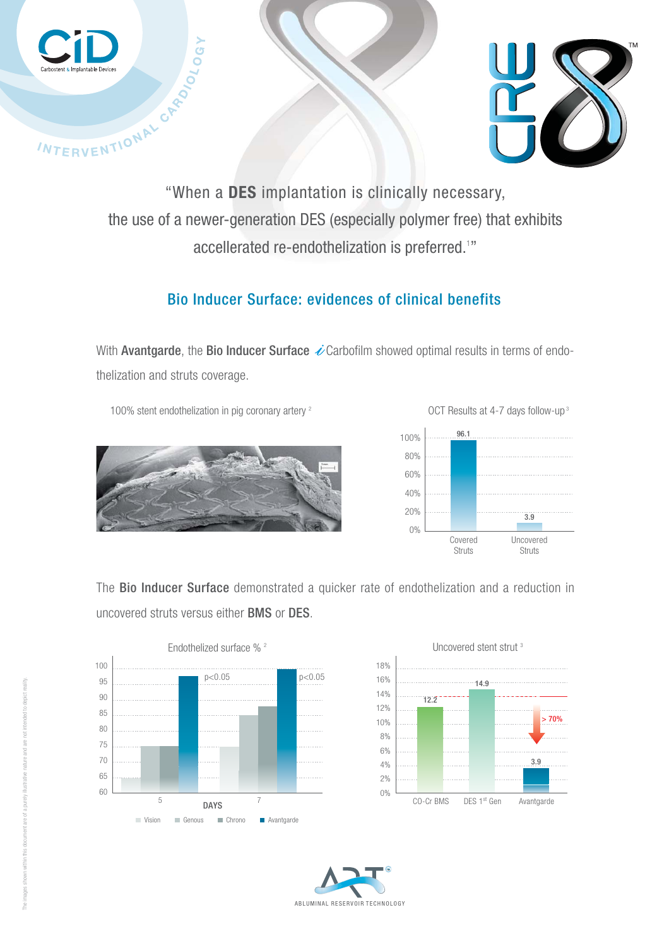



the use of a newer-generation DES (especially polymer free) that exhibits accellerated re-endothelization is preferred. $^{\scriptscriptstyle 1}{\scriptscriptstyle \prime\prime}$ 

## Bio Inducer Surface: evidences of clinical benefits

With Avantgarde, the Bio Inducer Surface  $\dot{\mathscr{L}}$  Carbofilm showed optimal results in terms of endothelization and struts coverage.

100% stent endothelization in pig coronary artery <sup>2</sup> OCT Results at 4-7 days follow-up<sup>3</sup>





The Bio Inducer Surface demonstrated a quicker rate of endothelization and a reduction in uncovered struts versus either BMS or DES.